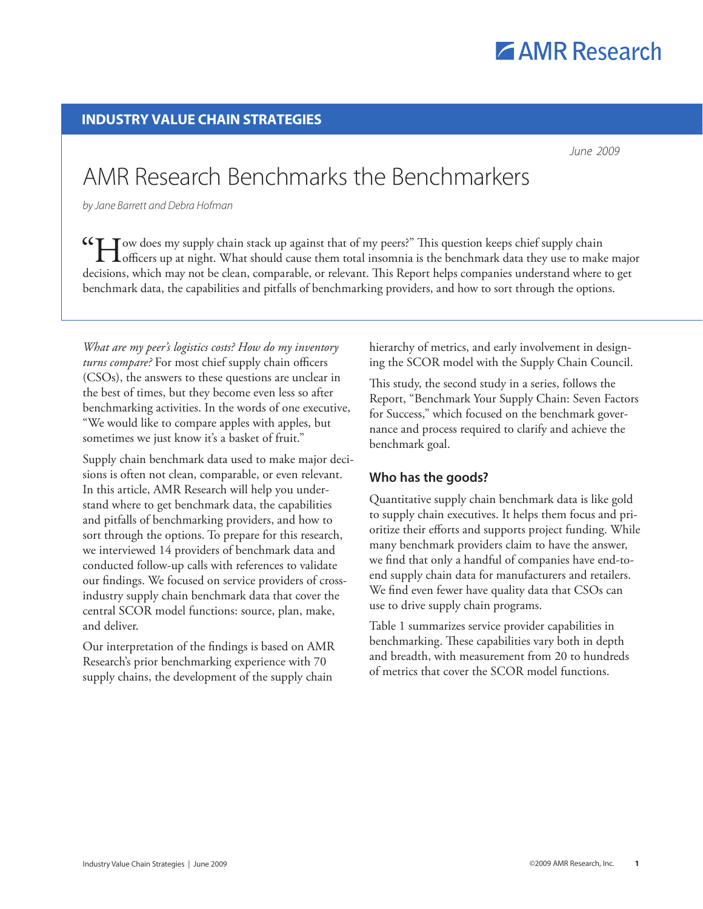

## **industry value Chain strategies**

 *June 2009*

# AMR Research Benchmarks the Benchmarkers

*by Jane Barrett and Debra Hofman*

**CCH** ow does my supply chain stack up against that of my peers?" This question keeps chief supply chain officers up at night. What should cause them total insomnia is the benchmark data they use to make major decisions, which may not be clean, comparable, or relevant. This Report helps companies understand where to get benchmark data, the capabilities and pitfalls of benchmarking providers, and how to sort through the options.

*What are my peer's logistics costs? How do my inventory turns compare?* For most chief supply chain officers (CSOs), the answers to these questions are unclear in the best of times, but they become even less so after benchmarking activities. In the words of one executive, "We would like to compare apples with apples, but sometimes we just know it's a basket of fruit."

Supply chain benchmark data used to make major decisions is often not clean, comparable, or even relevant. In this article, AMR Research will help you understand where to get benchmark data, the capabilities and pitfalls of benchmarking providers, and how to sort through the options. To prepare for this research, we interviewed 14 providers of benchmark data and conducted follow-up calls with references to validate our findings. We focused on service providers of crossindustry supply chain benchmark data that cover the central SCOR model functions: source, plan, make, and deliver.

Our interpretation of the findings is based on AMR Research's prior benchmarking experience with 70 supply chains, the development of the supply chain

hierarchy of metrics, and early involvement in designing the SCOR model with the Supply Chain Council.

This study, the second study in a series, follows the Report, "Benchmark Your Supply Chain: Seven Factors for Success," which focused on the benchmark governance and process required to clarify and achieve the benchmark goal.

# **Who has the goods?**

Quantitative supply chain benchmark data is like gold to supply chain executives. It helps them focus and prioritize their efforts and supports project funding. While many benchmark providers claim to have the answer, we find that only a handful of companies have end-toend supply chain data for manufacturers and retailers. We find even fewer have quality data that CSOs can use to drive supply chain programs.

Table 1 summarizes service provider capabilities in benchmarking. These capabilities vary both in depth and breadth, with measurement from 20 to hundreds of metrics that cover the SCOR model functions.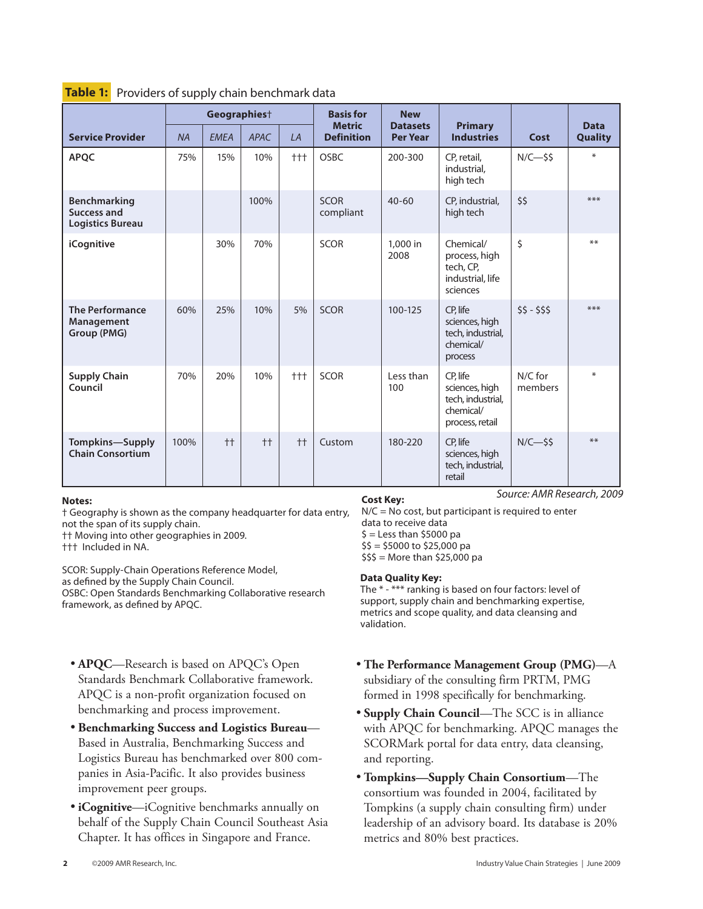|                                                        | Geographies <sup>+</sup> |             |             |       | <b>Basis for</b>                   | <b>New</b>                         |                                                                                 |                    |                               |
|--------------------------------------------------------|--------------------------|-------------|-------------|-------|------------------------------------|------------------------------------|---------------------------------------------------------------------------------|--------------------|-------------------------------|
| <b>Service Provider</b>                                | <b>NA</b>                | <b>EMEA</b> | <b>APAC</b> | LA    | <b>Metric</b><br><b>Definition</b> | <b>Datasets</b><br><b>Per Year</b> | <b>Primary</b><br><b>Industries</b>                                             | Cost               | <b>Data</b><br><b>Quality</b> |
| <b>APOC</b>                                            | 75%                      | 15%         | 10%         | $+++$ | <b>OSBC</b>                        | 200-300                            | CP, retail,<br>industrial.<br>high tech                                         | $N/C$ -\$\$        | $*$                           |
| Benchmarking<br>Success and<br><b>Logistics Bureau</b> |                          |             | 100%        |       | <b>SCOR</b><br>compliant           | $40 - 60$                          | CP, industrial,<br>high tech                                                    | \$\$               | ***                           |
| iCognitive                                             |                          | 30%         | 70%         |       | <b>SCOR</b>                        | 1,000 in<br>2008                   | Chemical/<br>process, high<br>tech, CP,<br>industrial, life<br>sciences         | \$                 | $***$                         |
| <b>The Performance</b><br>Management<br>Group (PMG)    | 60%                      | 25%         | 10%         | 5%    | <b>SCOR</b>                        | 100-125                            | CP, life<br>sciences, high<br>tech, industrial,<br>chemical/<br>process         | $55 - 555$         | ***                           |
| <b>Supply Chain</b><br>Council                         | 70%                      | 20%         | 10%         | $+++$ | <b>SCOR</b>                        | Less than<br>100                   | CP, life<br>sciences, high<br>tech, industrial,<br>chemical/<br>process, retail | N/C for<br>members | ∗                             |
| <b>Tompkins-Supply</b><br><b>Chain Consortium</b>      | 100%                     | $++$        | $++$        | $++$  | Custom                             | 180-220                            | CP, life<br>sciences, high<br>tech, industrial,<br>retail                       | $N/C-55$           | $***$                         |

#### Table 1: Providers of supply chain benchmark data

#### **Notes:**

† Geography is shown as the company headquarter for data entry, not the span of its supply chain.

†† Moving into other geographies in 2009.

††† Included in NA.

SCOR: Supply-Chain Operations Reference Model, as defined by the Supply Chain Council. OSBC: Open Standards Benchmarking Collaborative research framework, as defined by APQC.

- **APQC**—Research is based on APQC's Open Standards Benchmark Collaborative framework. APQC is a non-profit organization focused on benchmarking and process improvement.
- • **Benchmarking Success and Logistics Bureau** Based in Australia, Benchmarking Success and Logistics Bureau has benchmarked over 800 companies in Asia-Pacific. It also provides business improvement peer groups.
- • **iCognitive**—iCognitive benchmarks annually on behalf of the Supply Chain Council Southeast Asia Chapter. It has offices in Singapore and France.

#### **Cost Key:**

*Source: AMR Research, 2009*

N/C = No cost, but participant is required to enter data to receive data  $$ =$  Less than \$5000 pa  $$5 = $5000$  to \$25,000 pa  $$55 =$  More than \$25,000 pa

#### **Data Quality Key:**

The \* - \*\*\* ranking is based on four factors: level of support, supply chain and benchmarking expertise, metrics and scope quality, and data cleansing and validation.

- • **The Performance Management Group (PMG)**—A subsidiary of the consulting firm PRTM, PMG formed in 1998 specifically for benchmarking.
- • **Supply Chain Council**—The SCC is in alliance with APQC for benchmarking. APQC manages the SCORMark portal for data entry, data cleansing, and reporting.
- • **Tompkins—Supply Chain Consortium**—The consortium was founded in 2004, facilitated by Tompkins (a supply chain consulting firm) under leadership of an advisory board. Its database is 20% metrics and 80% best practices.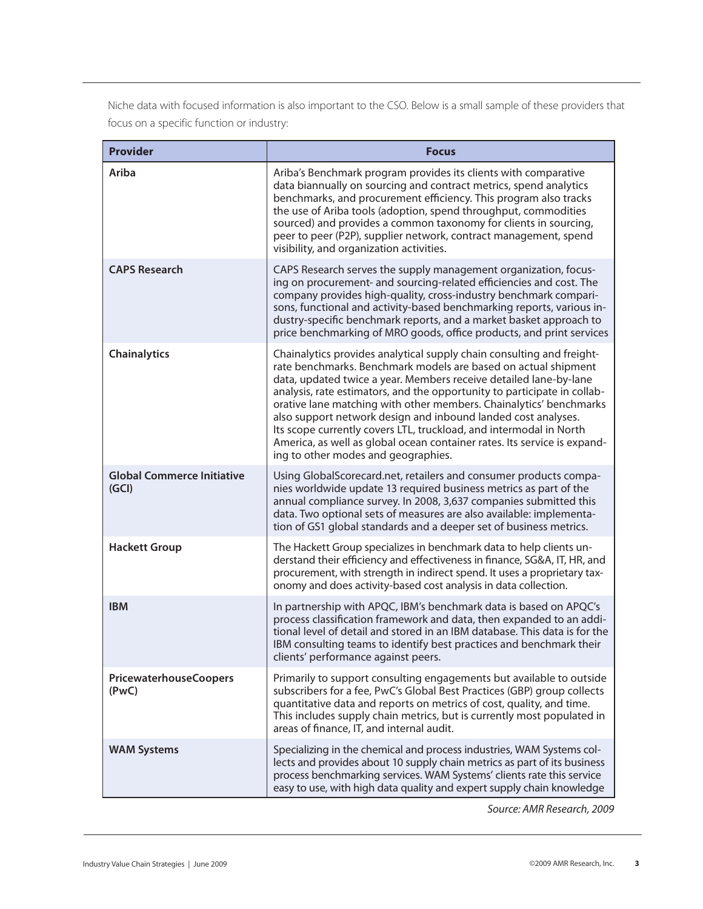Niche data with focused information is also important to the CSO. Below is a small sample of these providers that focus on a specific function or industry:

| <b>Provider</b>                            | <b>Focus</b>                                                                                                                                                                                                                                                                                                                                                                                                                                                                                                                                                                                                             |  |  |  |  |
|--------------------------------------------|--------------------------------------------------------------------------------------------------------------------------------------------------------------------------------------------------------------------------------------------------------------------------------------------------------------------------------------------------------------------------------------------------------------------------------------------------------------------------------------------------------------------------------------------------------------------------------------------------------------------------|--|--|--|--|
| Ariba                                      | Ariba's Benchmark program provides its clients with comparative<br>data biannually on sourcing and contract metrics, spend analytics<br>benchmarks, and procurement efficiency. This program also tracks<br>the use of Ariba tools (adoption, spend throughput, commodities<br>sourced) and provides a common taxonomy for clients in sourcing,<br>peer to peer (P2P), supplier network, contract management, spend<br>visibility, and organization activities.                                                                                                                                                          |  |  |  |  |
| <b>CAPS Research</b>                       | CAPS Research serves the supply management organization, focus-<br>ing on procurement- and sourcing-related efficiencies and cost. The<br>company provides high-quality, cross-industry benchmark compari-<br>sons, functional and activity-based benchmarking reports, various in-<br>dustry-specific benchmark reports, and a market basket approach to<br>price benchmarking of MRO goods, office products, and print services                                                                                                                                                                                        |  |  |  |  |
| <b>Chainalytics</b>                        | Chainalytics provides analytical supply chain consulting and freight-<br>rate benchmarks. Benchmark models are based on actual shipment<br>data, updated twice a year. Members receive detailed lane-by-lane<br>analysis, rate estimators, and the opportunity to participate in collab-<br>orative lane matching with other members. Chainalytics' benchmarks<br>also support network design and inbound landed cost analyses.<br>Its scope currently covers LTL, truckload, and intermodal in North<br>America, as well as global ocean container rates. Its service is expand-<br>ing to other modes and geographies. |  |  |  |  |
| <b>Global Commerce Initiative</b><br>(GCI) | Using GlobalScorecard.net, retailers and consumer products compa-<br>nies worldwide update 13 required business metrics as part of the<br>annual compliance survey. In 2008, 3,637 companies submitted this<br>data. Two optional sets of measures are also available: implementa-<br>tion of GS1 global standards and a deeper set of business metrics.                                                                                                                                                                                                                                                                 |  |  |  |  |
| <b>Hackett Group</b>                       | The Hackett Group specializes in benchmark data to help clients un-<br>derstand their efficiency and effectiveness in finance, SG&A, IT, HR, and<br>procurement, with strength in indirect spend. It uses a proprietary tax-<br>onomy and does activity-based cost analysis in data collection.                                                                                                                                                                                                                                                                                                                          |  |  |  |  |
| <b>IBM</b>                                 | In partnership with APQC, IBM's benchmark data is based on APQC's<br>process classification framework and data, then expanded to an addi-<br>tional level of detail and stored in an IBM database. This data is for the<br>IBM consulting teams to identify best practices and benchmark their<br>clients' performance against peers.                                                                                                                                                                                                                                                                                    |  |  |  |  |
| <b>PricewaterhouseCoopers</b><br>(PwC)     | Primarily to support consulting engagements but available to outside<br>subscribers for a fee, PwC's Global Best Practices (GBP) group collects<br>quantitative data and reports on metrics of cost, quality, and time.<br>This includes supply chain metrics, but is currently most populated in<br>areas of finance, IT, and internal audit.                                                                                                                                                                                                                                                                           |  |  |  |  |
| <b>WAM Systems</b>                         | Specializing in the chemical and process industries, WAM Systems col-<br>lects and provides about 10 supply chain metrics as part of its business<br>process benchmarking services. WAM Systems' clients rate this service<br>easy to use, with high data quality and expert supply chain knowledge                                                                                                                                                                                                                                                                                                                      |  |  |  |  |

*Source: AMR Research, 2009*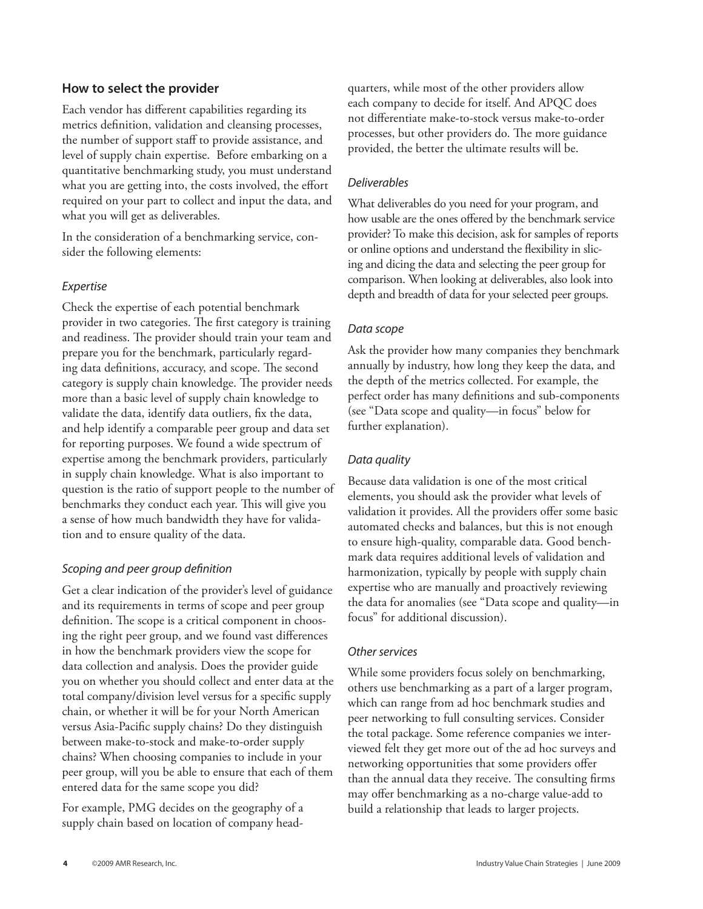## **How to select the provider**

Each vendor has different capabilities regarding its metrics definition, validation and cleansing processes, the number of support staff to provide assistance, and level of supply chain expertise. Before embarking on a quantitative benchmarking study, you must understand what you are getting into, the costs involved, the effort required on your part to collect and input the data, and what you will get as deliverables.

In the consideration of a benchmarking service, consider the following elements:

## *Expertise*

Check the expertise of each potential benchmark provider in two categories. The first category is training and readiness. The provider should train your team and prepare you for the benchmark, particularly regarding data definitions, accuracy, and scope. The second category is supply chain knowledge. The provider needs more than a basic level of supply chain knowledge to validate the data, identify data outliers, fix the data, and help identify a comparable peer group and data set for reporting purposes. We found a wide spectrum of expertise among the benchmark providers, particularly in supply chain knowledge. What is also important to question is the ratio of support people to the number of benchmarks they conduct each year. This will give you a sense of how much bandwidth they have for validation and to ensure quality of the data.

## *Scoping and peer group definition*

Get a clear indication of the provider's level of guidance and its requirements in terms of scope and peer group definition. The scope is a critical component in choosing the right peer group, and we found vast differences in how the benchmark providers view the scope for data collection and analysis. Does the provider guide you on whether you should collect and enter data at the total company/division level versus for a specific supply chain, or whether it will be for your North American versus Asia-Pacific supply chains? Do they distinguish between make-to-stock and make-to-order supply chains? When choosing companies to include in your peer group, will you be able to ensure that each of them entered data for the same scope you did?

For example, PMG decides on the geography of a supply chain based on location of company head-

quarters, while most of the other providers allow each company to decide for itself. And APQC does not differentiate make-to-stock versus make-to-order processes, but other providers do. The more guidance provided, the better the ultimate results will be.

## *Deliverables*

What deliverables do you need for your program, and how usable are the ones offered by the benchmark service provider? To make this decision, ask for samples of reports or online options and understand the flexibility in slicing and dicing the data and selecting the peer group for comparison. When looking at deliverables, also look into depth and breadth of data for your selected peer groups.

## *Data scope*

Ask the provider how many companies they benchmark annually by industry, how long they keep the data, and the depth of the metrics collected. For example, the perfect order has many definitions and sub-components (see "Data scope and quality—in focus" below for further explanation).

## *Data quality*

Because data validation is one of the most critical elements, you should ask the provider what levels of validation it provides. All the providers offer some basic automated checks and balances, but this is not enough to ensure high-quality, comparable data. Good benchmark data requires additional levels of validation and harmonization, typically by people with supply chain expertise who are manually and proactively reviewing the data for anomalies (see "Data scope and quality—in focus" for additional discussion).

### *Other services*

While some providers focus solely on benchmarking, others use benchmarking as a part of a larger program, which can range from ad hoc benchmark studies and peer networking to full consulting services. Consider the total package. Some reference companies we interviewed felt they get more out of the ad hoc surveys and networking opportunities that some providers offer than the annual data they receive. The consulting firms may offer benchmarking as a no-charge value-add to build a relationship that leads to larger projects.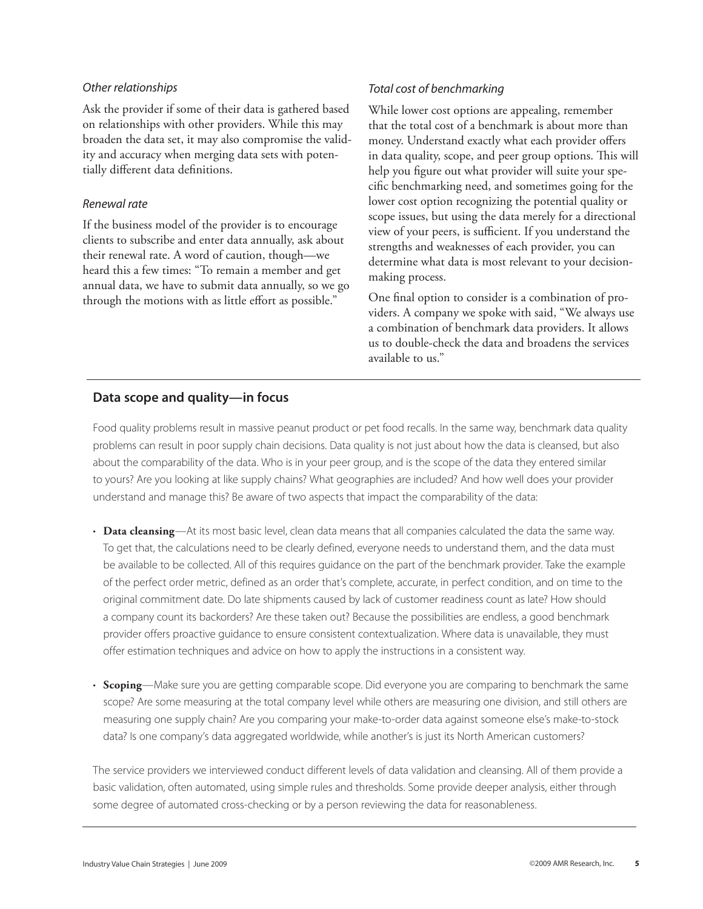#### *Other relationships*

Ask the provider if some of their data is gathered based on relationships with other providers. While this may broaden the data set, it may also compromise the validity and accuracy when merging data sets with potentially different data definitions.

### *Renewal rate*

If the business model of the provider is to encourage clients to subscribe and enter data annually, ask about their renewal rate. A word of caution, though—we heard this a few times: "To remain a member and get annual data, we have to submit data annually, so we go through the motions with as little effort as possible."

## *Total cost of benchmarking*

While lower cost options are appealing, remember that the total cost of a benchmark is about more than money. Understand exactly what each provider offers in data quality, scope, and peer group options. This will help you figure out what provider will suite your specific benchmarking need, and sometimes going for the lower cost option recognizing the potential quality or scope issues, but using the data merely for a directional view of your peers, is sufficient. If you understand the strengths and weaknesses of each provider, you can determine what data is most relevant to your decisionmaking process.

One final option to consider is a combination of providers. A company we spoke with said, "We always use a combination of benchmark data providers. It allows us to double-check the data and broadens the services available to us."

## **Data scope and quality—in focus**

Food quality problems result in massive peanut product or pet food recalls. In the same way, benchmark data quality problems can result in poor supply chain decisions. Data quality is not just about how the data is cleansed, but also about the comparability of the data. Who is in your peer group, and is the scope of the data they entered similar to yours? Are you looking at like supply chains? What geographies are included? And how well does your provider understand and manage this? Be aware of two aspects that impact the comparability of the data:

- **Data cleansing**—At its most basic level, clean data means that all companies calculated the data the same way. To get that, the calculations need to be clearly defined, everyone needs to understand them, and the data must be available to be collected. All of this requires guidance on the part of the benchmark provider. Take the example of the perfect order metric, defined as an order that's complete, accurate, in perfect condition, and on time to the original commitment date. Do late shipments caused by lack of customer readiness count as late? How should a company count its backorders? Are these taken out? Because the possibilities are endless, a good benchmark provider offers proactive guidance to ensure consistent contextualization. Where data is unavailable, they must offer estimation techniques and advice on how to apply the instructions in a consistent way.
- **Scoping**—Make sure you are getting comparable scope. Did everyone you are comparing to benchmark the same scope? Are some measuring at the total company level while others are measuring one division, and still others are measuring one supply chain? Are you comparing your make-to-order data against someone else's make-to-stock data? Is one company's data aggregated worldwide, while another's is just its North American customers?

The service providers we interviewed conduct different levels of data validation and cleansing. All of them provide a basic validation, often automated, using simple rules and thresholds. Some provide deeper analysis, either through some degree of automated cross-checking or by a person reviewing the data for reasonableness.